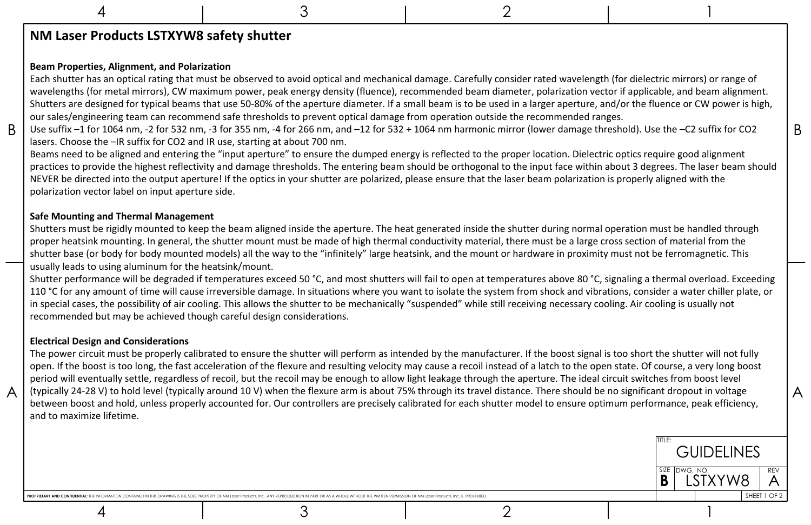4

A

A



## 4 2 1

**NM Laser Products LSTXYW8 safety shutter**

## **Beam Properties, Alignment, and Polarization**

 $\mathsf B$  | Use suffix –1 for 1064 nm, -2 for 532 nm, -3 for 355 nm, -4 for 266 nm, and –12 for 532 + 1064 nm harmonic mirror (lower damage threshold). Use the –C2 suffix for CO2 |  $\mathsf B$ Each shutter has an optical rating that must be observed to avoid optical and mechanical damage. Carefully consider rated wavelength (for dielectric mirrors) or range of wavelengths (for metal mirrors), CW maximum power, peak energy density (fluence), recommended beam diameter, polarization vector if applicable, and beam alignment. Shutters are designed for typical beams that use 50-80% of the aperture diameter. If a small beam is to be used in a larger aperture, and/or the fluence or CW power is high, our sales/engineering team can recommend safe thresholds to prevent optical damage from operation outside the recommended ranges. lasers. Choose the –IR suffix for CO2 and IR use, starting at about 700 nm.

Shutter performance will be degraded if temperatures exceed 50 °C, and most shutters will fail to open at temperatures above 80 °C, signaling a thermal overload. Exceeding 110 °C for any amount of time will cause irreversible damage. In situations where you want to isolate the system from shock and vibrations, consider a water chiller plate, or in special cases, the possibility of air cooling. This allows the shutter to be mechanically "suspended" while still receiving necessary cooling. Air cooling is usually not recommended but may be achieved though careful design considerations.

Beams need to be aligned and entering the "input aperture" to ensure the dumped energy is reflected to the proper location. Dielectric optics require good alignment practices to provide the highest reflectivity and damage thresholds. The entering beam should be orthogonal to the input face within about 3 degrees. The laser beam should NEVER be directed into the output aperture! If the optics in your shutter are polarized, please ensure that the laser beam polarization is properly aligned with the polarization vector label on input aperture side.

## **Safe Mounting and Thermal Management**

Shutters must be rigidly mounted to keep the beam aligned inside the aperture. The heat generated inside the shutter during normal operation must be handled through proper heatsink mounting. In general, the shutter mount must be made of high thermal conductivity material, there must be a large cross section of material from the shutter base (or body for body mounted models) all the way to the "infinitely" large heatsink, and the mount or hardware in proximity must not be ferromagnetic. This usually leads to using aluminum for the heatsink/mount.

## **Electrical Design and Considerations**

The power circuit must be properly calibrated to ensure the shutter will perform as intended by the manufacturer. If the boost signal is too short the shutter will not fully open. If the boost is too long, the fast acceleration of the flexure and resulting velocity may cause a recoil instead of a latch to the open state. Of course, a very long boost period will eventually settle, regardless of recoil, but the recoil may be enough to allow light leakage through the aperture. The ideal circuit switches from boost level (typically 24-28 V) to hold level (typically around 10 V) when the flexure arm is about 75% through its travel distance. There should be no significant dropout in voltage between boost and hold, unless properly accounted for. Our controllers are precisely calibrated for each shutter model to ensure optimum performance, peak efficiency, and to maximize lifetime.

ROPRIETARY AND CONFIDENTIAL: THE INFORMATION CONTAINED IN THIS DRAWING IS THE SOLE PROPERTY OF NM Laser Products, Inc. ANY REPRODUCTION IN PART OR AS A WHOLE WITHOUT THE WRITTEN PERMISSION OF NM Laser Products, Inc. IS PRO